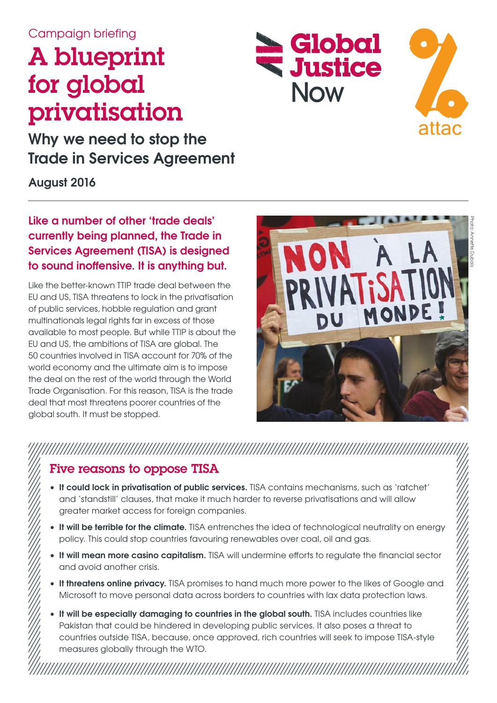#### Campaign briefing

# A blueprint for global privatisation

**Why we need to stop the Trade in Services Agreement**

**August 2016**

#### **Like a number of other 'trade deals' currently being planned, the Trade in Services Agreement (TISA) is designed to sound inoffensive. It is anything but.**

Like the better-known TTIP trade deal between the EU and US, TISA threatens to lock in the privatisation of public services, hobble regulation and grant multinationals legal rights far in excess of those available to most people. But while TTIP is about the EU and US, the ambitions of TISA are global. The 50 countries involved in TISA account for 70% of the world economy and the ultimate aim is to impose the deal on the rest of the world through the World Trade Organisation. For this reason, TISA is the trade deal that most threatens poorer countries of the global south. It must be stopped.



Global

**Willice** 

**Now** 

attac

### Five reasons to oppose TISA

• **It could lock in privatisation of public services.** TISA contains mechanisms, such as 'ratchet' and 'standstill' clauses, that make it much harder to reverse privatisations and will allow greater market access for foreign companies.

- **It will be terrible for the climate.** TISA entrenches the idea of technological neutrality on energy policy. This could stop countries favouring renewables over coal, oil and gas.
- **It will mean more casino capitalism.** TISA will undermine efforts to regulate the financial sector and avoid another crisis.
- **It threatens online privacy.** TISA promises to hand much more power to the likes of Google and Microsoft to move personal data across borders to countries with lax data protection laws.
- It will be especially damaging to countries in the global south. TISA includes countries like Pakistan that could be hindered in developing public services. It also poses a threat to countries outside TISA, because, once approved, rich countries will seek to impose TISA-style measures globally through the WTO.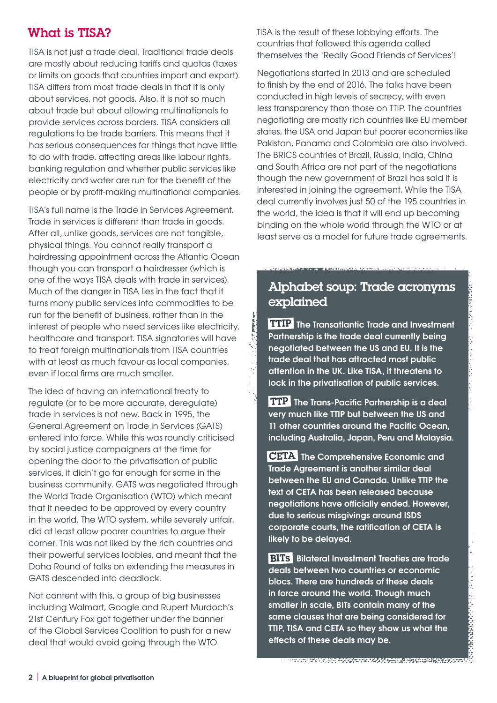#### What is TISA?

TISA is not just a trade deal. Traditional trade deals are mostly about reducing tariffs and quotas (taxes or limits on goods that countries import and export). TISA differs from most trade deals in that it is only about services, not goods. Also, it is not so much about trade but about allowing multinationals to provide services across borders. TISA considers all regulations to be trade barriers. This means that it has serious consequences for things that have little to do with trade, affecting areas like labour rights, banking regulation and whether public services like electricity and water are run for the benefit of the people or by profit-making multinational companies.

TISA's full name is the Trade in Services Agreement. Trade in services is different than trade in goods. After all, unlike goods, services are not tangible, physical things. You cannot really transport a hairdressing appointment across the Atlantic Ocean though you can transport a hairdresser (which is one of the ways TISA deals with trade in services). Much of the danger in TISA lies in the fact that it turns many public services into commodities to be run for the benefit of business, rather than in the interest of people who need services like electricity, healthcare and transport. TISA signatories will have to treat foreign multinationals from TISA countries with at least as much favour as local companies, even if local firms are much smaller.

The idea of having an international treaty to regulate (or to be more accurate, deregulate) trade in services is not new. Back in 1995, the General Agreement on Trade in Services (GATS) entered into force. While this was roundly criticised by social justice campaigners at the time for opening the door to the privatisation of public services, it didn't go far enough for some in the business community. GATS was negotiated through the World Trade Organisation (WTO) which meant that it needed to be approved by every country in the world. The WTO system, while severely unfair, did at least allow poorer countries to argue their corner. This was not liked by the rich countries and their powerful services lobbies, and meant that the Doha Round of talks on extending the measures in GATS descended into deadlock.

Not content with this, a group of big businesses including Walmart, Google and Rupert Murdoch's 21st Century Fox got together under the banner of the Global Services Coalition to push for a new deal that would avoid going through the WTO.

TISA is the result of these lobbying efforts. The countries that followed this agenda called themselves the 'Really Good Friends of Services'!

Negotiations started in 2013 and are scheduled to finish by the end of 2016. The talks have been conducted in high levels of secrecy, with even less transparency than those on TTIP. The countries negotiating are mostly rich countries like EU member states, the USA and Japan but poorer economies like Pakistan, Panama and Colombia are also involved. The BRICS countries of Brazil, Russia, India, China and South Africa are not part of the negotiations though the new government of Brazil has said it is interested in joining the agreement. While the TISA deal currently involves just 50 of the 195 countries in the world, the idea is that it will end up becoming binding on the whole world through the WTO or at least serve as a model for future trade agreements.

#### Alphabet soup: Trade acronyms explained

**TTIP** The Transatlantic Trade and Investment **Partnership is the trade deal currently being negotiated between the US and EU. It is the trade deal that has attracted most public attention in the UK. Like TISA, it threatens to lock in the privatisation of public services.**

**TTP** The Trans-Pacific Partnership is a deal **very much like TTIP but between the US and 11 other countries around the Pacific Ocean, including Australia, Japan, Peru and Malaysia.**

**CETA** The Comprehensive Economic and **Trade Agreement is another similar deal between the EU and Canada. Unlike TTIP the text of CETA has been released because negotiations have officially ended. However, due to serious misgivings around ISDS corporate courts, the ratification of CETA is likely to be delayed.**

**BITS** Bilateral Investment Treaties are trade **deals between two countries or economic blocs. There are hundreds of these deals in force around the world. Though much smaller in scale, BITs contain many of the same clauses that are being considered for TTIP, TISA and CETA so they show us what the effects of these deals may be.**

**MARK AND PROPERTY AND LOOK TO BE A RELEASED TO**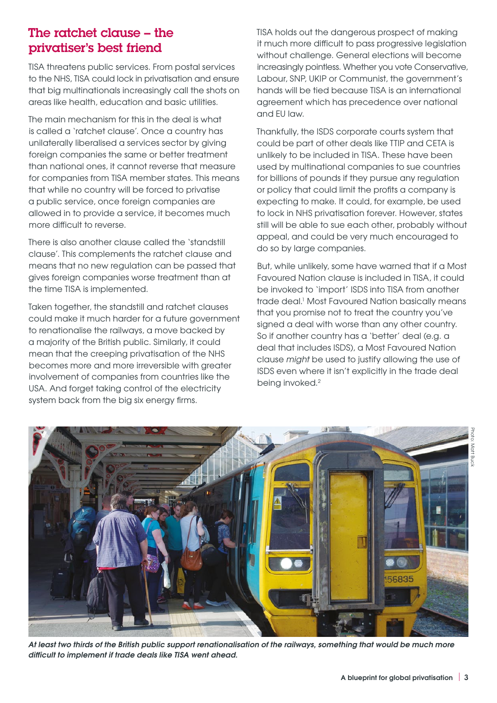#### The ratchet clause – the privatiser's best friend

TISA threatens public services. From postal services to the NHS, TISA could lock in privatisation and ensure that big multinationals increasingly call the shots on areas like health, education and basic utilities.

The main mechanism for this in the deal is what is called a 'ratchet clause'. Once a country has unilaterally liberalised a services sector by giving foreign companies the same or better treatment than national ones, it cannot reverse that measure for companies from TISA member states. This means that while no country will be forced to privatise a public service, once foreign companies are allowed in to provide a service, it becomes much more difficult to reverse.

There is also another clause called the 'standstill clause'. This complements the ratchet clause and means that no new regulation can be passed that gives foreign companies worse treatment than at the time TISA is implemented.

Taken together, the standstill and ratchet clauses could make it much harder for a future government to renationalise the railways, a move backed by a majority of the British public. Similarly, it could mean that the creeping privatisation of the NHS becomes more and more irreversible with greater involvement of companies from countries like the USA. And forget taking control of the electricity system back from the big six energy firms.

TISA holds out the dangerous prospect of making it much more difficult to pass progressive legislation without challenge. General elections will become increasingly pointless. Whether you vote Conservative, Labour, SNP, UKIP or Communist, the government's hands will be tied because TISA is an international agreement which has precedence over national and EU law.

Thankfully, the ISDS corporate courts system that could be part of other deals like TTIP and CETA is unlikely to be included in TISA. These have been used by multinational companies to sue countries for billions of pounds if they pursue any regulation or policy that could limit the profits a company is expecting to make. It could, for example, be used to lock in NHS privatisation forever. However, states still will be able to sue each other, probably without appeal, and could be very much encouraged to do so by large companies.

But, while unlikely, some have warned that if a Most Favoured Nation clause is included in TISA, it could be invoked to 'import' ISDS into TISA from another trade deal.<sup>1</sup> Most Favoured Nation basically means that you promise not to treat the country you've signed a deal with worse than any other country. So if another country has a 'better' deal (e.g. a deal that includes ISDS), a Most Favoured Nation clause *might* be used to justify allowing the use of ISDS even where it isn't explicitly in the trade deal being invoked.<sup>2</sup>



*At least two thirds of the British public support renationalisation of the railways, something that would be much more difficult to implement if trade deals like TISA went ahead.*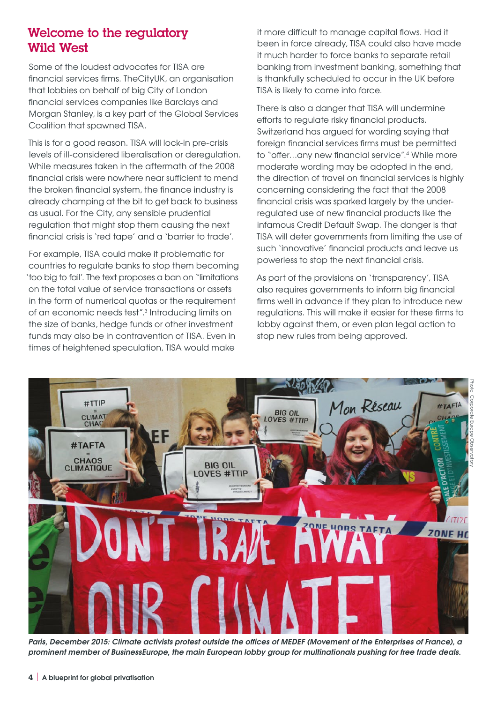#### Welcome to the regulatory Wild West

Some of the loudest advocates for TISA are financial services firms. TheCityUK, an organisation that lobbies on behalf of big City of London financial services companies like Barclays and Morgan Stanley, is a key part of the Global Services Coalition that spawned TISA.

This is for a good reason. TISA will lock-in pre-crisis levels of ill-considered liberalisation or deregulation. While measures taken in the aftermath of the 2008 financial crisis were nowhere near sufficient to mend the broken financial system, the finance industry is already champing at the bit to get back to business as usual. For the City, any sensible prudential regulation that might stop them causing the next financial crisis is 'red tape' and a 'barrier to trade'.

For example, TISA could make it problematic for countries to regulate banks to stop them becoming 'too big to fail'. The text proposes a ban on "limitations on the total value of service transactions or assets in the form of numerical quotas or the requirement of an economic needs test".3 Introducing limits on the size of banks, hedge funds or other investment funds may also be in contravention of TISA. Even in times of heightened speculation, TISA would make

it more difficult to manage capital flows. Had it been in force already, TISA could also have made it much harder to force banks to separate retail banking from investment banking, something that is thankfully scheduled to occur in the UK before TISA is likely to come into force.

There is also a danger that TISA will undermine efforts to regulate risky financial products. Switzerland has argued for wording saying that foreign financial services firms must be permitted to "offer…any new financial service".4 While more moderate wording may be adopted in the end, the direction of travel on financial services is highly concerning considering the fact that the 2008 financial crisis was sparked largely by the underregulated use of new financial products like the infamous Credit Default Swap. The danger is that TISA will deter governments from limiting the use of such 'innovative' financial products and leave us powerless to stop the next financial crisis.

As part of the provisions on 'transparency', TISA also requires governments to inform big financial firms well in advance if they plan to introduce new regulations. This will make it easier for these firms to lobby against them, or even plan legal action to stop new rules from being approved.



*Paris, December 2015: Climate activists protest outside the offices of MEDEF (Movement of the Enterprises of France), a prominent member of BusinessEurope, the main European lobby group for multinationals pushing for free trade deals.*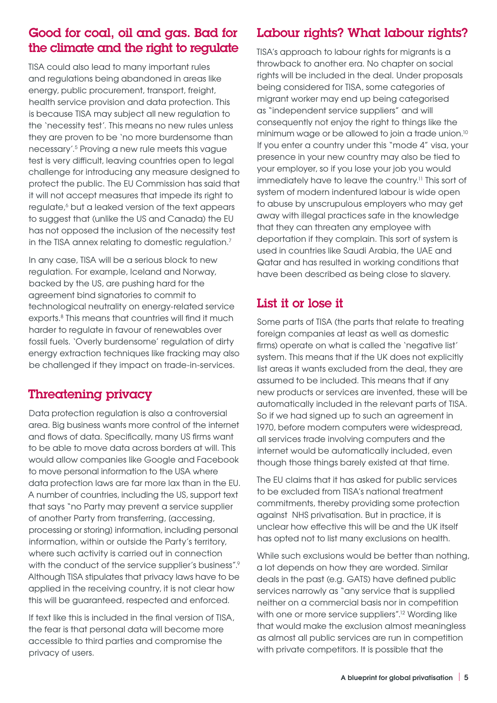#### Good for coal, oil and gas. Bad for the climate and the right to regulate

TISA could also lead to many important rules and regulations being abandoned in areas like energy, public procurement, transport, freight, health service provision and data protection. This is because TISA may subject all new regulation to the 'necessity test'. This means no new rules unless they are proven to be 'no more burdensome than necessary'.5 Proving a new rule meets this vague test is very difficult, leaving countries open to legal challenge for introducing any measure designed to protect the public. The EU Commission has said that it will not accept measures that impede its right to regulate,<sup>6</sup> but a leaked version of the text appears to suggest that (unlike the US and Canada) the EU has not opposed the inclusion of the necessity test in the TISA annex relating to domestic regulation.<sup>7</sup>

In any case, TISA will be a serious block to new regulation. For example, Iceland and Norway, backed by the US, are pushing hard for the agreement bind signatories to commit to technological neutrality on energy-related service exports.8 This means that countries will find it much harder to regulate in favour of renewables over fossil fuels. 'Overly burdensome' regulation of dirty energy extraction techniques like fracking may also be challenged if they impact on trade-in-services.

### Threatening privacy

Data protection regulation is also a controversial area. Big business wants more control of the internet and flows of data. Specifically, many US firms want to be able to move data across borders at will. This would allow companies like Google and Facebook to move personal information to the USA where data protection laws are far more lax than in the EU. A number of countries, including the US, support text that says "no Party may prevent a service supplier of another Party from transferring, [accessing, processing or storing] information, including personal information, within or outside the Party's territory, where such activity is carried out in connection with the conduct of the service supplier's business".<sup>9</sup> Although TISA stipulates that privacy laws have to be applied in the receiving country, it is not clear how this will be guaranteed, respected and enforced.

If text like this is included in the final version of TISA, the fear is that personal data will become more accessible to third parties and compromise the privacy of users.

### Labour rights? What labour rights?

TISA's approach to labour rights for migrants is a throwback to another era. No chapter on social rights will be included in the deal. Under proposals being considered for TISA, some categories of migrant worker may end up being categorised as "independent service suppliers" and will consequently not enjoy the right to things like the minimum wage or be allowed to join a trade union.10 If you enter a country under this "mode 4" visa, your presence in your new country may also be tied to your employer, so if you lose your job you would immediately have to leave the country.11 This sort of system of modern indentured labour is wide open to abuse by unscrupulous employers who may get away with illegal practices safe in the knowledge that they can threaten any employee with deportation if they complain. This sort of system is used in countries like Saudi Arabia, the UAE and Qatar and has resulted in working conditions that have been described as being close to slavery.

#### List it or lose it

Some parts of TISA (the parts that relate to treating foreign companies at least as well as domestic firms) operate on what is called the 'negative list' system. This means that if the UK does not explicitly list areas it wants excluded from the deal, they are assumed to be included. This means that if any new products or services are invented, these will be automatically included in the relevant parts of TISA. So if we had signed up to such an agreement in 1970, before modern computers were widespread, all services trade involving computers and the internet would be automatically included, even though those things barely existed at that time.

The EU claims that it has asked for public services to be excluded from TISA's national treatment commitments, thereby providing some protection against NHS privatisation. But in practice, it is unclear how effective this will be and the UK itself has opted not to list many exclusions on health.

While such exclusions would be better than nothing, a lot depends on how they are worded. Similar deals in the past (e.g. GATS) have defined public services narrowly as "any service that is supplied neither on a commercial basis nor in competition with one or more service suppliers".<sup>12</sup> Wording like that would make the exclusion almost meaningless as almost all public services are run in competition with private competitors. It is possible that the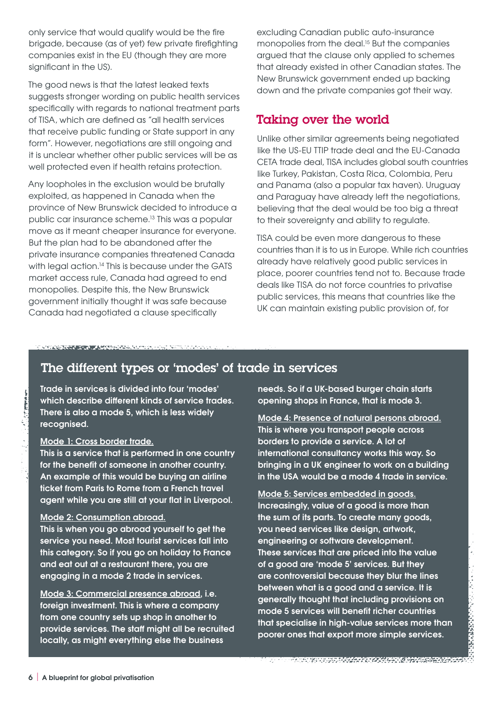only service that would qualify would be the fire brigade, because (as of yet) few private firefighting companies exist in the EU (though they are more significant in the US).

The good news is that the latest leaked texts suggests stronger wording on public health services specifically with regards to national treatment parts of TISA, which are defined as "all health services that receive public funding or State support in any form". However, negotiations are still ongoing and it is unclear whether other public services will be as well protected even if health retains protection.

Any loopholes in the exclusion would be brutally exploited, as happened in Canada when the province of New Brunswick decided to introduce a public car insurance scheme.13 This was a popular move as it meant cheaper insurance for everyone. But the plan had to be abandoned after the private insurance companies threatened Canada with legal action.<sup>14</sup> This is because under the GATS market access rule, Canada had agreed to end monopolies. Despite this, the New Brunswick government initially thought it was safe because Canada had negotiated a clause specifically

excluding Canadian public auto-insurance monopolies from the deal.<sup>15</sup> But the companies argued that the clause only applied to schemes that already existed in other Canadian states. The New Brunswick government ended up backing down and the private companies got their way.

#### Taking over the world

Unlike other similar agreements being negotiated like the US-EU TTIP trade deal and the EU-Canada CETA trade deal, TISA includes global south countries like Turkey, Pakistan, Costa Rica, Colombia, Peru and Panama (also a popular tax haven). Uruguay and Paraguay have already left the negotiations, believing that the deal would be too big a threat to their sovereignty and ability to regulate.

TISA could be even more dangerous to these countries than it is to us in Europe. While rich countries already have relatively good public services in place, poorer countries tend not to. Because trade deals like TISA do not force countries to privatise public services, this means that countries like the UK can maintain existing public provision of, for

#### *Production and Control Anti-Production Control Production Control Production Control Production Control Production Control Production Control Production Control Production Control Production Control Production Control Pr*

#### The different types or 'modes' of trade in services

**Trade in services is divided into four 'modes' which describe different kinds of service trades. There is also a mode 5, which is less widely recognised.**

#### **Mode 1: Cross border trade.**

**This is a service that is performed in one country for the benefit of someone in another country. An example of this would be buying an airline ticket from Paris to Rome from a French travel agent while you are still at your flat in Liverpool.**

#### **Mode 2: Consumption abroad.**

**This is when you go abroad yourself to get the service you need. Most tourist services fall into this category. So if you go on holiday to France and eat out at a restaurant there, you are engaging in a mode 2 trade in services.**

**Mode 3: Commercial presence abroad, i.e. foreign investment. This is where a company from one country sets up shop in another to provide services. The staff might all be recruited locally, as might everything else the business** 

**needs. So if a UK-based burger chain starts opening shops in France, that is mode 3.**

**Mode 4: Presence of natural persons abroad. This is where you transport people across borders to provide a service. A lot of international consultancy works this way. So bringing in a UK engineer to work on a building in the USA would be a mode 4 trade in service.**

**Mode 5: Services embedded in goods. Increasingly, value of a good is more than the sum of its parts. To create many goods, you need services like design, artwork, engineering or software development. These services that are priced into the value of a good are 'mode 5' services. But they are controversial because they blur the lines between what is a good and a service. It is generally thought that including provisions on mode 5 services will benefit richer countries that specialise in high-value services more than poorer ones that export more simple services.**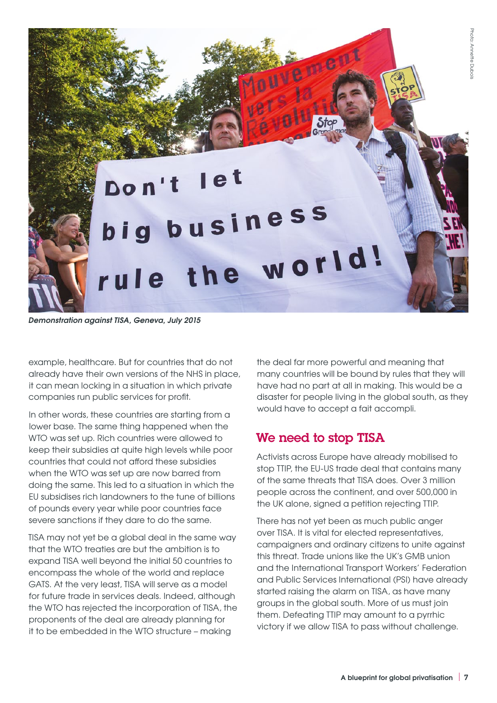

*Demonstration against TISA, Geneva, July 2015*

example, healthcare. But for countries that do not already have their own versions of the NHS in place, it can mean locking in a situation in which private companies run public services for profit.

In other words, these countries are starting from a lower base. The same thing happened when the WTO was set up. Rich countries were allowed to keep their subsidies at quite high levels while poor countries that could not afford these subsidies when the WTO was set up are now barred from doing the same. This led to a situation in which the EU subsidises rich landowners to the tune of billions of pounds every year while poor countries face severe sanctions if they dare to do the same.

TISA may not yet be a global deal in the same way that the WTO treaties are but the ambition is to expand TISA well beyond the initial 50 countries to encompass the whole of the world and replace GATS. At the very least, TISA will serve as a model for future trade in services deals. Indeed, although the WTO has rejected the incorporation of TISA, the proponents of the deal are already planning for it to be embedded in the WTO structure – making

the deal far more powerful and meaning that many countries will be bound by rules that they will have had no part at all in making. This would be a disaster for people living in the global south, as they would have to accept a fait accompli.

#### We need to stop TISA

Activists across Europe have already mobilised to stop TTIP, the EU-US trade deal that contains many of the same threats that TISA does. Over 3 million people across the continent, and over 500,000 in the UK alone, signed a petition rejecting TTIP.

There has not yet been as much public anger over TISA. It is vital for elected representatives, campaigners and ordinary citizens to unite against this threat. Trade unions like the UK's GMB union and the International Transport Workers' Federation and Public Services International (PSI) have already started raising the alarm on TISA, as have many groups in the global south. More of us must join them. Defeating TTIP may amount to a pyrrhic victory if we allow TISA to pass without challenge.